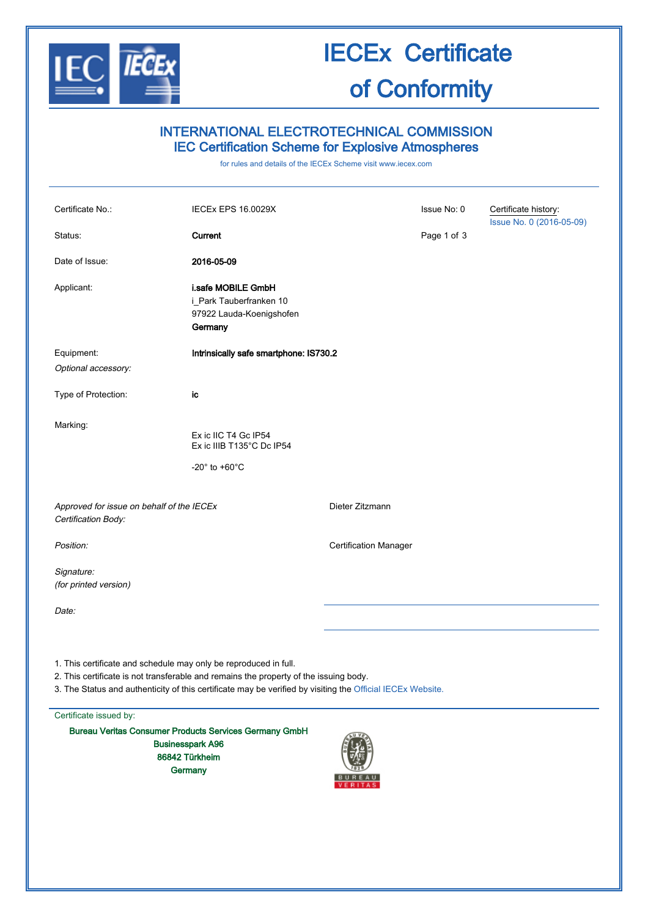

### IECEx Certificate of Conformity

### INTERNATIONAL ELECTROTECHNICAL COMMISSION IEC Certification Scheme for Explosive Atmospheres

for rules and details of the IECEx Scheme visit [www.iecex.com](http://www.iecex.com/)

| Certificate No.:                                                                                                                                                                                                                                                        | <b>IECEX EPS 16.0029X</b>                                                                                             |                              | Issue No: 0 | Certificate history:<br>Issue No. 0 (2016-05-09) |
|-------------------------------------------------------------------------------------------------------------------------------------------------------------------------------------------------------------------------------------------------------------------------|-----------------------------------------------------------------------------------------------------------------------|------------------------------|-------------|--------------------------------------------------|
| Status:                                                                                                                                                                                                                                                                 | Current                                                                                                               |                              | Page 1 of 3 |                                                  |
| Date of Issue:                                                                                                                                                                                                                                                          | 2016-05-09                                                                                                            |                              |             |                                                  |
| Applicant:                                                                                                                                                                                                                                                              | i.safe MOBILE GmbH<br>i_Park Tauberfranken 10<br>97922 Lauda-Koenigshofen<br>Germany                                  |                              |             |                                                  |
| Equipment:                                                                                                                                                                                                                                                              | Intrinsically safe smartphone: IS730.2                                                                                |                              |             |                                                  |
| Optional accessory:                                                                                                                                                                                                                                                     |                                                                                                                       |                              |             |                                                  |
| Type of Protection:                                                                                                                                                                                                                                                     | ic                                                                                                                    |                              |             |                                                  |
| Marking:                                                                                                                                                                                                                                                                | Ex ic IIC T4 Gc IP54<br>Ex ic IIIB T135°C Dc IP54                                                                     |                              |             |                                                  |
|                                                                                                                                                                                                                                                                         | -20 $^{\circ}$ to +60 $^{\circ}$ C                                                                                    |                              |             |                                                  |
| Approved for issue on behalf of the IECEx<br>Certification Body:                                                                                                                                                                                                        |                                                                                                                       | Dieter Zitzmann              |             |                                                  |
| Position:                                                                                                                                                                                                                                                               |                                                                                                                       | <b>Certification Manager</b> |             |                                                  |
| Signature:<br>(for printed version)                                                                                                                                                                                                                                     |                                                                                                                       |                              |             |                                                  |
| Date:                                                                                                                                                                                                                                                                   |                                                                                                                       |                              |             |                                                  |
| 1. This certificate and schedule may only be reproduced in full.<br>2. This certificate is not transferable and remains the property of the issuing body.<br>3. The Status and authenticity of this certificate may be verified by visiting the Official IECEx Website. |                                                                                                                       |                              |             |                                                  |
| Certificate issued by:                                                                                                                                                                                                                                                  |                                                                                                                       |                              |             |                                                  |
|                                                                                                                                                                                                                                                                         | <b>Bureau Veritas Consumer Products Services Germany GmbH</b><br><b>Businesspark A96</b><br>86842 Türkheim<br>Germany |                              |             |                                                  |

 $\sqrt{\frac{1}{1018}}$ **BUREAU**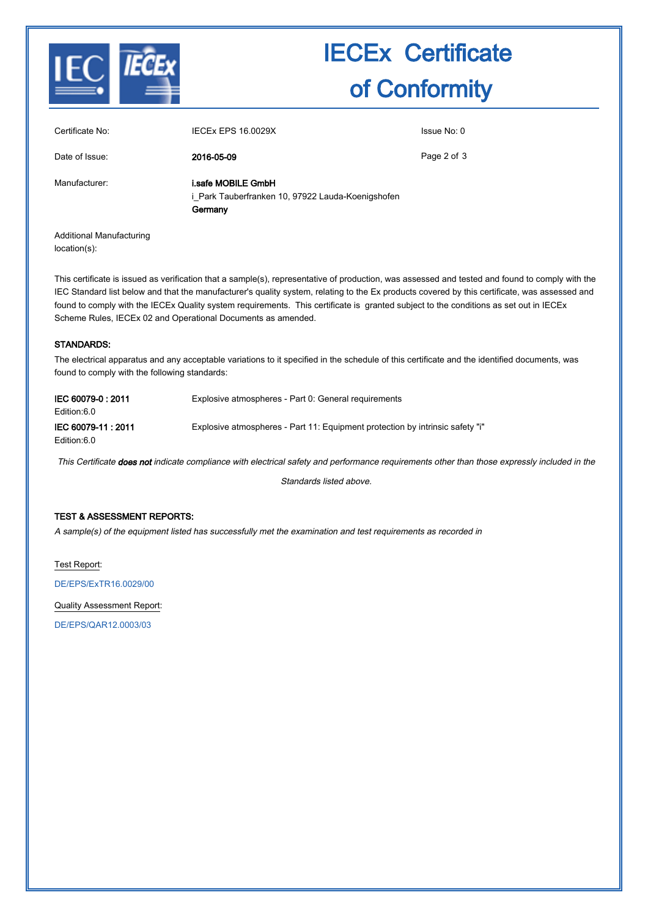

# IECEx Certificate of Conformity

| Certificate No:          | <b>IECEX EPS 16.0029X</b>                                                          | Issue No: 0 |
|--------------------------|------------------------------------------------------------------------------------|-------------|
| Date of Issue:           | 2016-05-09                                                                         | Page 2 of 3 |
| Manufacturer:            | i.safe MOBILE GmbH<br>i_Park Tauberfranken 10, 97922 Lauda-Koenigshofen<br>Germany |             |
| Additional Manufacturing |                                                                                    |             |

Additional Manufacturing location(s):

This certificate is issued as verification that a sample(s), representative of production, was assessed and tested and found to comply with the IEC Standard list below and that the manufacturer's quality system, relating to the Ex products covered by this certificate, was assessed and found to comply with the IECEx Quality system requirements. This certificate is granted subject to the conditions as set out in IECEx Scheme Rules, IECEx 02 and Operational Documents as amended.

#### STANDARDS:

The electrical apparatus and any acceptable variations to it specified in the schedule of this certificate and the identified documents, was found to comply with the following standards:

| IEC 60079-0:2011<br>Edition:6.0  | Explosive atmospheres - Part 0: General requirements                          |
|----------------------------------|-------------------------------------------------------------------------------|
| IEC 60079-11:2011<br>Edition:6.0 | Explosive atmospheres - Part 11: Equipment protection by intrinsic safety "i" |

This Certificate does not indicate compliance with electrical safety and performance requirements other than those expressly included in the

Standards listed above.

#### TEST & ASSESSMENT REPORTS:

A sample(s) of the equipment listed has successfully met the examination and test requirements as recorded in

Test Report:

[DE/EPS/ExTR16.0029/00](http://iecex.iec.ch/iecex/IECExWeb.nsf/ExTRNumber/DE/EPS/ExTR16.0029/00?OpenDocument)

Quality Assessment Report:

[DE/EPS/QAR12.0003/03](http://iecex.iec.ch/iecex/IECExWeb.nsf/QARNumber/DE/EPS/QAR12.0003/03?OpenDocument)